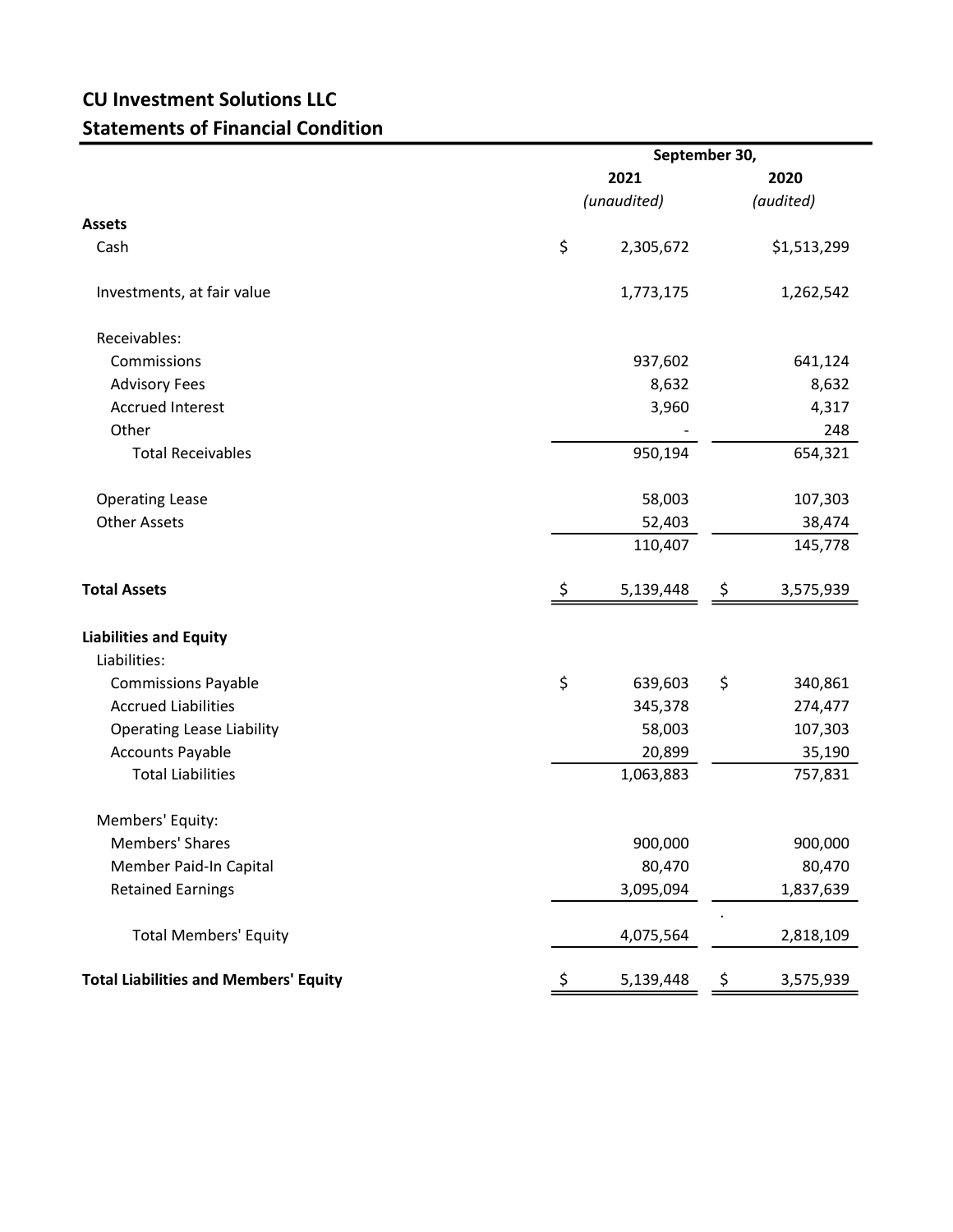## CU Investment Solutions LLC Statements of Financial Condition

|                                              | September 30,       |           |         |                   |  |  |
|----------------------------------------------|---------------------|-----------|---------|-------------------|--|--|
|                                              | 2021<br>(unaudited) |           |         | 2020<br>(audited) |  |  |
|                                              |                     |           |         |                   |  |  |
| <b>Assets</b>                                |                     |           |         |                   |  |  |
| Cash                                         | \$                  | 2,305,672 |         | \$1,513,299       |  |  |
| Investments, at fair value                   |                     | 1,773,175 |         | 1,262,542         |  |  |
| Receivables:                                 |                     |           |         |                   |  |  |
| Commissions                                  |                     | 937,602   | 641,124 |                   |  |  |
| <b>Advisory Fees</b>                         |                     | 8,632     | 8,632   |                   |  |  |
| <b>Accrued Interest</b>                      |                     | 3,960     | 4,317   |                   |  |  |
| Other                                        |                     |           |         | 248               |  |  |
| <b>Total Receivables</b>                     |                     | 950,194   |         | 654,321           |  |  |
| <b>Operating Lease</b>                       |                     | 58,003    |         | 107,303           |  |  |
| <b>Other Assets</b>                          | 52,403              |           |         | 38,474            |  |  |
|                                              |                     | 110,407   |         | 145,778           |  |  |
| <b>Total Assets</b>                          | \$                  | 5,139,448 | \$      | 3,575,939         |  |  |
| <b>Liabilities and Equity</b>                |                     |           |         |                   |  |  |
| Liabilities:                                 |                     |           |         |                   |  |  |
| <b>Commissions Payable</b>                   | \$                  | 639,603   | \$      | 340,861           |  |  |
| <b>Accrued Liabilities</b>                   |                     | 345,378   |         | 274,477           |  |  |
| <b>Operating Lease Liability</b>             |                     | 58,003    |         | 107,303           |  |  |
| <b>Accounts Payable</b>                      |                     | 20,899    |         | 35,190            |  |  |
| <b>Total Liabilities</b>                     |                     | 1,063,883 |         | 757,831           |  |  |
| Members' Equity:                             |                     |           |         |                   |  |  |
| Members' Shares                              |                     | 900,000   |         | 900,000           |  |  |
| Member Paid-In Capital                       |                     | 80,470    |         | 80,470            |  |  |
| <b>Retained Earnings</b>                     |                     | 3,095,094 |         | 1,837,639         |  |  |
| <b>Total Members' Equity</b>                 |                     | 4,075,564 |         | 2,818,109         |  |  |
| <b>Total Liabilities and Members' Equity</b> | \$,                 | 5,139,448 | Ş       | 3,575,939         |  |  |